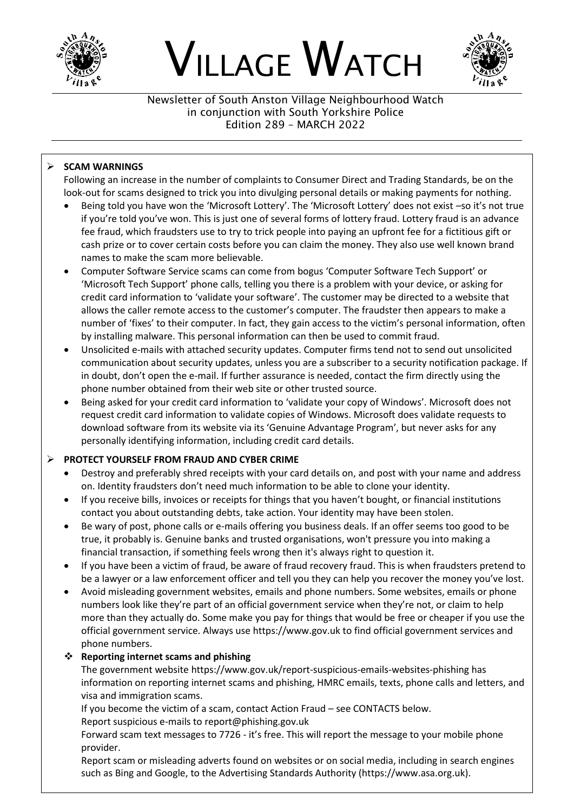





Newsletter of South Anston Village Neighbourhood Watch in conjunction with South Yorkshire Police Edition 289 – MARCH 2022

## ➢ **SCAM WARNINGS**

Following an increase in the number of complaints to Consumer Direct and Trading Standards, be on the look-out for scams designed to trick you into divulging personal details or making payments for nothing.

- Being told you have won the 'Microsoft Lottery'. The 'Microsoft Lottery' does not exist –so it's not true if you're told you've won. This is just one of several forms of lottery fraud. Lottery fraud is an advance fee fraud, which fraudsters use to try to trick people into paying an upfront fee for a fictitious gift or cash prize or to cover certain costs before you can claim the money. They also use well known brand names to make the scam more believable.
- Computer Software Service scams can come from bogus 'Computer Software Tech Support' or 'Microsoft Tech Support' phone calls, telling you there is a problem with your device, or asking for credit card information to 'validate your software'. The customer may be directed to a website that allows the caller remote access to the customer's computer. The fraudster then appears to make a number of 'fixes' to their computer. In fact, they gain access to the victim's personal information, often by installing malware. This personal information can then be used to commit fraud.
- Unsolicited e-mails with attached security updates. Computer firms tend not to send out unsolicited communication about security updates, unless you are a subscriber to a security notification package. If in doubt, don't open the e-mail. If further assurance is needed, contact the firm directly using the phone number obtained from their web site or other trusted source.
- Being asked for your credit card information to 'validate your copy of Windows'. Microsoft does not request credit card information to validate copies of Windows. Microsoft does validate requests to download software from its website via its 'Genuine Advantage Program', but never asks for any personally identifying information, including credit card details.

# ➢ **PROTECT YOURSELF FROM FRAUD AND CYBER CRIME**

- Destroy and preferably shred receipts with your card details on, and post with your name and address on. Identity fraudsters don't need much information to be able to clone your identity.
- If you receive bills, invoices or receipts for things that you haven't bought, or financial institutions contact you about outstanding debts, take action. Your identity may have been stolen.
- Be wary of post, phone calls or e-mails offering you business deals. If an offer seems too good to be true, it probably is. Genuine banks and trusted organisations, won't pressure you into making a financial transaction, if something feels wrong then it's always right to question it.
- If you have been a victim of fraud, be aware of fraud recovery fraud. This is when fraudsters pretend to be a lawyer or a law enforcement officer and tell you they can help you recover the money you've lost.
- Avoid misleading government websites, emails and phone numbers. Some websites, emails or phone numbers look like they're part of an official government service when they're not, or claim to help more than they actually do. Some make you pay for things that would be free or cheaper if you use the official government service. Always use https://www.gov.uk to find official government services and phone numbers.

# ❖ **Reporting internet scams and phishing**

The government website https://www.gov.uk/report-suspicious-emails-websites-phishing has information on reporting internet scams and phishing, HMRC emails, texts, phone calls and letters, and visa and immigration scams.

If you become the victim of a scam, contact Action Fraud – see CONTACTS below. Report suspicious e-mails to report@phishing.gov.uk

Forward scam text messages to 7726 - it's free. This will report the message to your mobile phone provider.

Report scam or misleading adverts found on websites or on social media, including in search engines such as Bing and Google, to the Advertising Standards Authority (https://www.asa.org.uk).